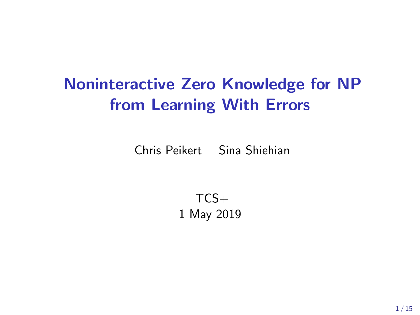# Noninteractive Zero Knowledge for NP from Learning With Errors

Chris Peikert Sina Shiehian

 $TCS+$ 1 May 2019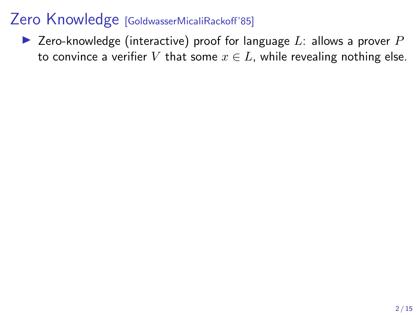Example 2 Zero-knowledge (interactive) proof for language L: allows a prover  $P$ to convince a verifier V that some  $x \in L$ , while revealing nothing else.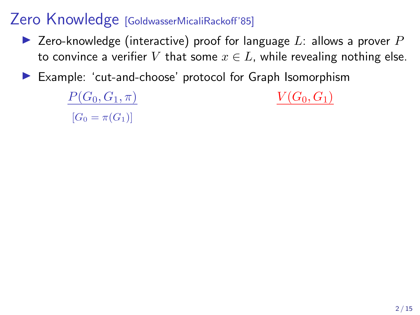- $\blacktriangleright$  Zero-knowledge (interactive) proof for language L: allows a prover P to convince a verifier V that some  $x \in L$ , while revealing nothing else.
- Example: 'cut-and-choose' protocol for Graph Isomorphism

 $P(G_0, G_1, \pi)$   $V(G_0, G_1)$  $[G_0 = \pi(G_1)]$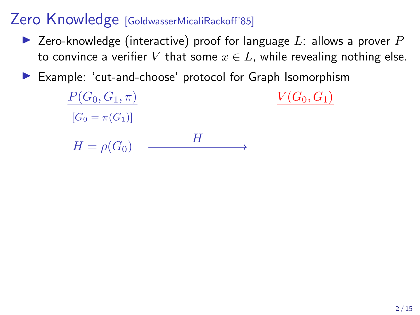- $\blacktriangleright$  Zero-knowledge (interactive) proof for language L: allows a prover P to convince a verifier V that some  $x \in L$ , while revealing nothing else.
- Example: 'cut-and-choose' protocol for Graph Isomorphism

 $P(G_0, G_1, \pi)$   $V(G_0, G_1)$  $[G_0 = \pi(G_1)]$  $H = \rho(G_0)$  — H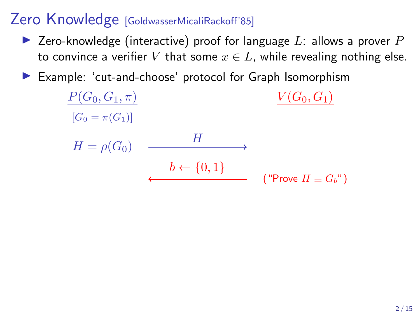- $\blacktriangleright$  Zero-knowledge (interactive) proof for language L: allows a prover P to convince a verifier V that some  $x \in L$ , while revealing nothing else.
- Example: 'cut-and-choose' protocol for Graph Isomorphism

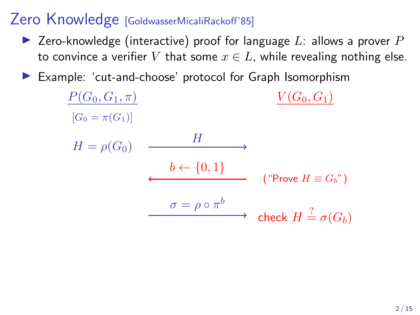- $\blacktriangleright$  Zero-knowledge (interactive) proof for language L: allows a prover P to convince a verifier V that some  $x \in L$ , while revealing nothing else.
- Example: 'cut-and-choose' protocol for Graph Isomorphism

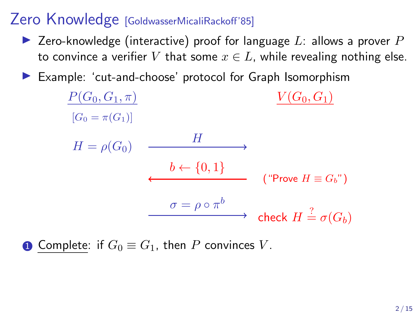- $\blacktriangleright$  Zero-knowledge (interactive) proof for language L: allows a prover P to convince a verifier V that some  $x \in L$ , while revealing nothing else.
- Example: 'cut-and-choose' protocol for Graph Isomorphism



**1** Complete: if  $G_0 \equiv G_1$ , then P convinces V.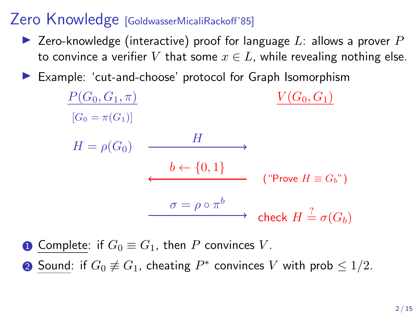- $\blacktriangleright$  Zero-knowledge (interactive) proof for language L: allows a prover P to convince a verifier V that some  $x \in L$ , while revealing nothing else.
- Example: 'cut-and-choose' protocol for Graph Isomorphism



**1** Complete: if  $G_0 \equiv G_1$ , then P convinces V.

2 Sound: if  $G_0$  ≢  $G_1$ , cheating  $P^*$  convinces  $V$  with prob  $\leq 1/2$ .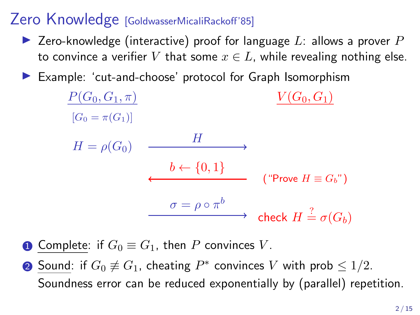- $\blacktriangleright$  Zero-knowledge (interactive) proof for language L: allows a prover P to convince a verifier V that some  $x \in L$ , while revealing nothing else.
- Example: 'cut-and-choose' protocol for Graph Isomorphism



**1** Complete: if  $G_0 \equiv G_1$ , then P convinces V.

2 Sound: if  $G_0$  ≢  $G_1$ , cheating  $P^*$  convinces  $V$  with prob  $\leq 1/2$ . Soundness error can be reduced exponentially by (parallel) repetition.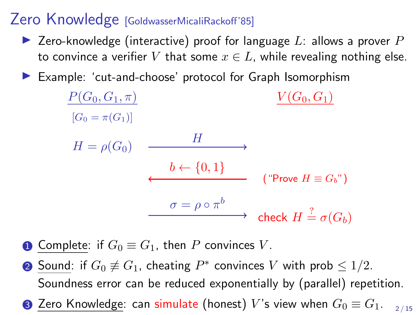- $\blacktriangleright$  Zero-knowledge (interactive) proof for language L: allows a prover P to convince a verifier V that some  $x \in L$ , while revealing nothing else.
- Example: 'cut-and-choose' protocol for Graph Isomorphism



**1** Complete: if  $G_0 \equiv G_1$ , then P convinces V.

- 2 Sound: if  $G_0$  ≢  $G_1$ , cheating  $P^*$  convinces  $V$  with prob  $\leq 1/2$ . Soundness error can be reduced exponentially by (parallel) repetition.
- Zero Knowledge: can simulate (honest) V's view when  $G_0 \equiv G_1$ . 2 / 15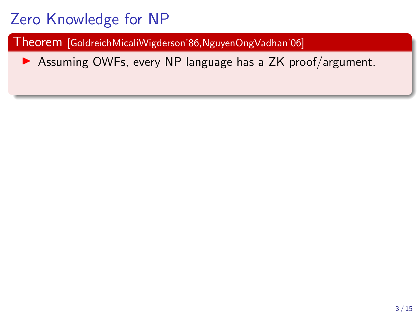Theorem [GoldreichMicaliWigderson'86,NguyenOngVadhan'06]

 $\triangleright$  Assuming OWFs, every NP language has a ZK proof/argument.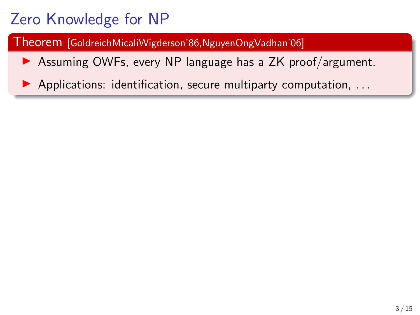Theorem [GoldreichMicaliWigderson'86,NguyenOngVadhan'06]

 $\triangleright$  Assuming OWFs, every NP language has a ZK proof/argument.

 $\blacktriangleright$  Applications: identification, secure multiparty computation, ...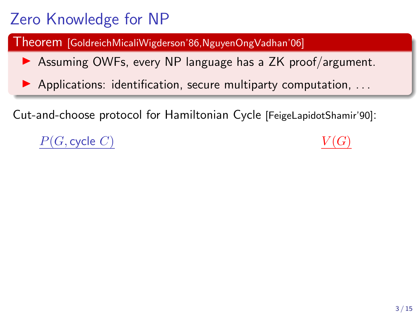Theorem [GoldreichMicaliWigderson'86,NguyenOngVadhan'06]

 $\triangleright$  Assuming OWFs, every NP language has a ZK proof/argument.

 $\blacktriangleright$  Applications: identification, secure multiparty computation, ...

Cut-and-choose protocol for Hamiltonian Cycle [FeigeLapidotShamir'90]:

 $P(G, cycle C)$ 

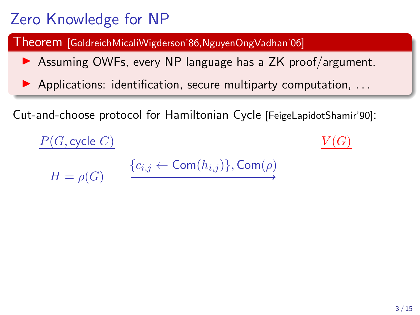Theorem [GoldreichMicaliWigderson'86,NguyenOngVadhan'06]

 $\triangleright$  Assuming OWFs, every NP language has a ZK proof/argument.

 $\blacktriangleright$  Applications: identification, secure multiparty computation, ...

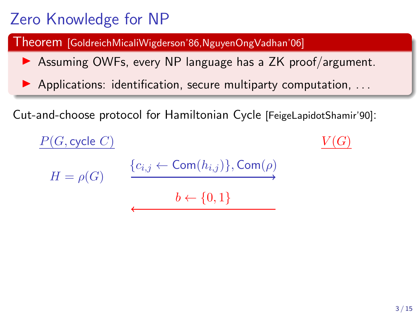Theorem [GoldreichMicaliWigderson'86,NguyenOngVadhan'06]

 $\triangleright$  Assuming OWFs, every NP language has a ZK proof/argument.

 $\blacktriangleright$  Applications: identification, secure multiparty computation, ...

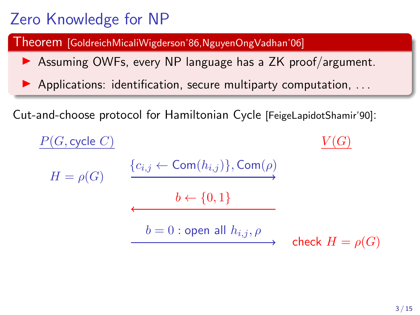Theorem [GoldreichMicaliWigderson'86,NguyenOngVadhan'06]

 $\triangleright$  Assuming OWFs, every NP language has a ZK proof/argument.

 $\blacktriangleright$  Applications: identification, secure multiparty computation, ...

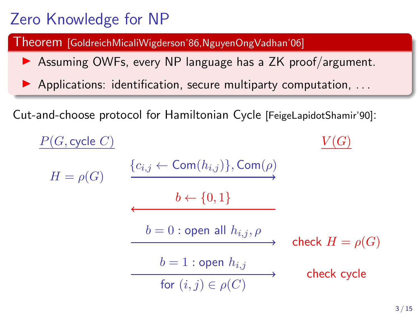Theorem [GoldreichMicaliWigderson'86,NguyenOngVadhan'06]

 $\triangleright$  Assuming OWFs, every NP language has a ZK proof/argument.

 $\blacktriangleright$  Applications: identification, secure multiparty computation, ...

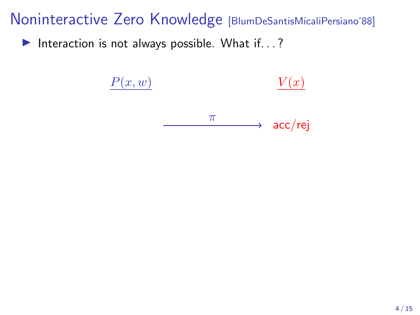Interaction is not always possible. What if...?

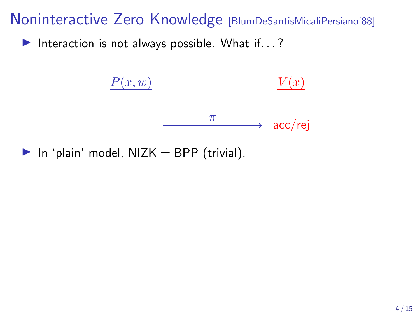Interaction is not always possible. What if...?



In 'plain' model,  $NIZK = BPP$  (trivial).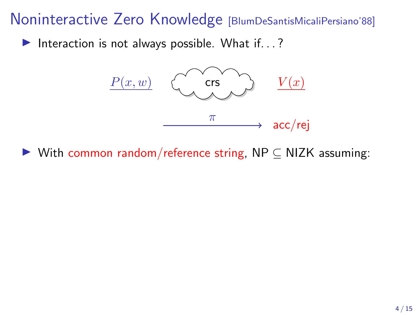Interaction is not always possible. What if...?



 $\triangleright$  With common random/reference string, NP  $\subseteq$  NIZK assuming: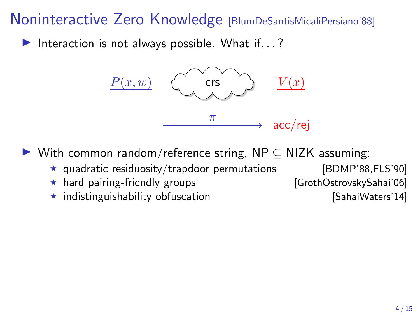Interaction is not always possible. What if...?



 $\triangleright$  With common random/reference string, NP  $\subset$  NIZK assuming:

- $\star$  quadratic residuosity/trapdoor permutations [BDMP'88,FLS'90]
- \* hard pairing-friendly groups [GrothOstrovskySahai'06]
- $\star$  indistinguishability obfuscation  $\star$  [SahaiWaters'14]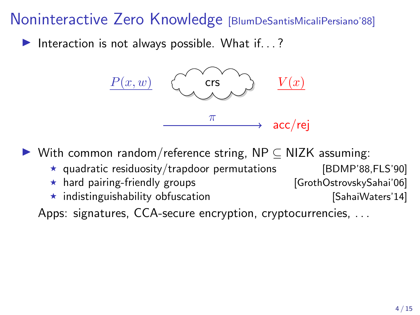Interaction is not always possible. What if...?



 $\triangleright$  With common random/reference string, NP  $\subset$  NIZK assuming:

- $\star$  quadratic residuosity/trapdoor permutations [BDMP'88,FLS'90]
- \* hard pairing-friendly groups [GrothOstrovskySahai'06]
- $\star$  indistinguishability obfuscation  $\star$  [SahaiWaters'14]

Apps: signatures, CCA-secure encryption, cryptocurrencies, ...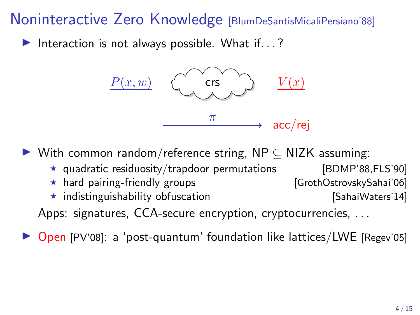Interaction is not always possible. What if...?



 $\triangleright$  With common random/reference string, NP  $\subset$  NIZK assuming:

- $\star$  quadratic residuosity/trapdoor permutations [BDMP'88,FLS'90]
- \* hard pairing-friendly groups [GrothOstrovskySahai'06]
- $\star$  indistinguishability obfuscation  $\star$  [SahaiWaters'14]

Apps: signatures, CCA-secure encryption, cryptocurrencies, . . .

Open [PV'08]: a 'post-quantum' foundation like lattices/LWE [Regev'05]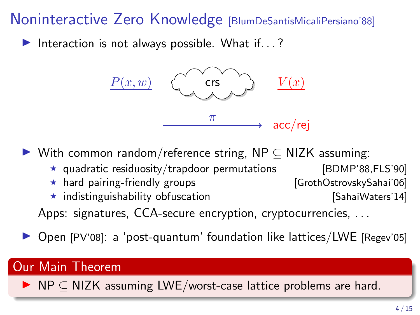Interaction is not always possible. What if...?



 $\triangleright$  With common random/reference string, NP  $\subset$  NIZK assuming:

- $\star$  quadratic residuosity/trapdoor permutations [BDMP'88,FLS'90]
- \* hard pairing-friendly groups [GrothOstrovskySahai'06]
- $\star$  indistinguishability obfuscation  $\star$  [SahaiWaters'14]

- Apps: signatures, CCA-secure encryption, cryptocurrencies, ...
- $\triangleright$  Open [PV'08]: a 'post-quantum' foundation like lattices/LWE [Regev'05]

#### Our Main Theorem

 $\triangleright$  NP  $\subset$  NIZK assuming LWE/worst-case lattice problems are hard.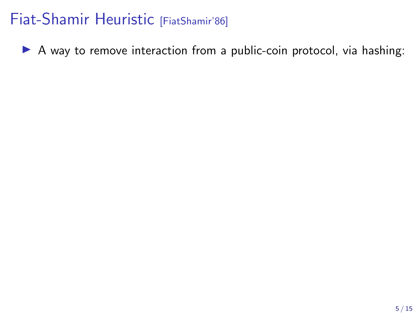$\triangleright$  A way to remove interaction from a public-coin protocol, via hashing: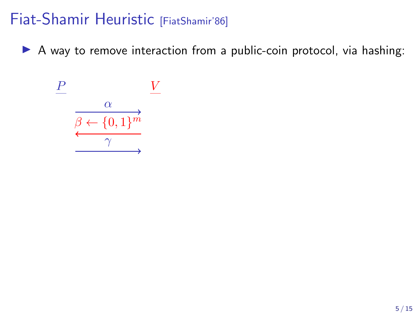$\triangleright$  A way to remove interaction from a public-coin protocol, via hashing:

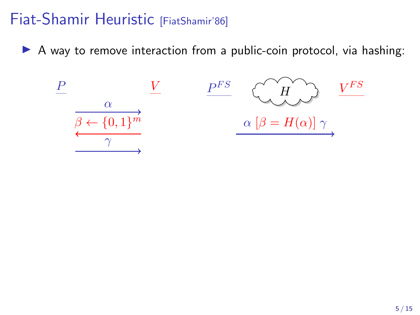$\triangleright$  A way to remove interaction from a public-coin protocol, via hashing:

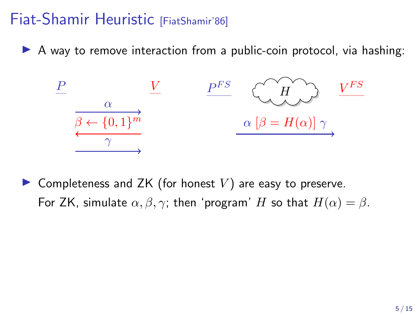$\triangleright$  A way to remove interaction from a public-coin protocol, via hashing:



 $\blacktriangleright$  Completeness and ZK (for honest V) are easy to preserve. For ZK, simulate  $\alpha, \beta, \gamma$ ; then 'program' H so that  $H(\alpha) = \beta$ .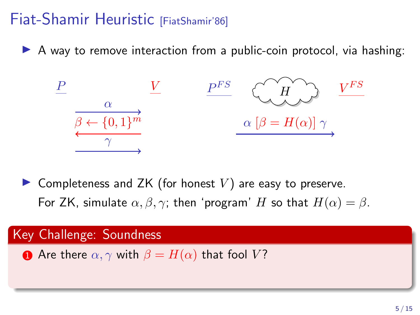$\triangleright$  A way to remove interaction from a public-coin protocol, via hashing:



 $\blacktriangleright$  Completeness and ZK (for honest V) are easy to preserve. For ZK, simulate  $\alpha, \beta, \gamma$ ; then 'program' H so that  $H(\alpha) = \beta$ .

#### Key Challenge: Soundness

**1** Are there  $\alpha, \gamma$  with  $\beta = H(\alpha)$  that fool V?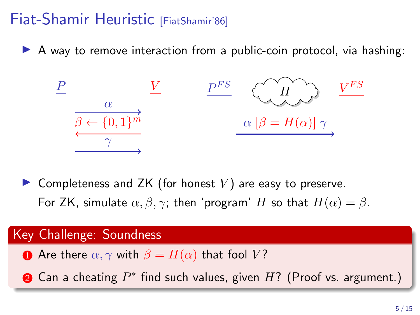$\triangleright$  A way to remove interaction from a public-coin protocol, via hashing:



 $\blacktriangleright$  Completeness and ZK (for honest V) are easy to preserve. For ZK, simulate  $\alpha, \beta, \gamma$ ; then 'program' H so that  $H(\alpha) = \beta$ .

#### Key Challenge: Soundness

**1** Are there  $\alpha, \gamma$  with  $\beta = H(\alpha)$  that fool V?

 $\bullet$  Can a cheating  $P^*$  find such values, given  $H$ ? (Proof vs. argument.)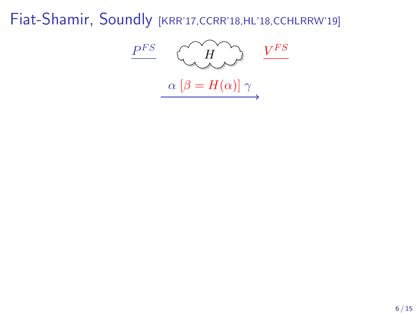$P^{FS}$  $\begin{array}{cc} F S & C & H & D \end{array}$  $V^{FS}$  $\alpha [\beta = H(\alpha)] \gamma$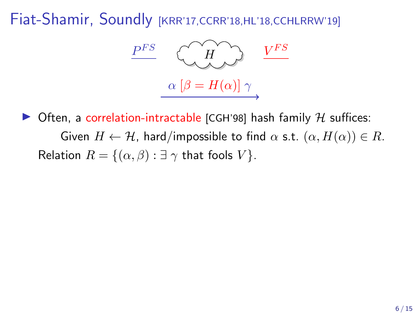

Often, a correlation-intractable [CGH'98] hash family  $H$  suffices: Given  $H \leftarrow H$ , hard/impossible to find  $\alpha$  s.t.  $(\alpha, H(\alpha)) \in R$ . Relation  $R = \{(\alpha, \beta) : \exists \gamma \text{ that fools } V\}.$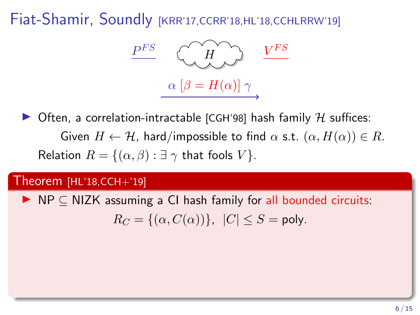

Often, a correlation-intractable [CGH'98] hash family  $H$  suffices: Given  $H \leftarrow H$ , hard/impossible to find  $\alpha$  s.t.  $(\alpha, H(\alpha)) \in R$ . Relation  $R = \{(\alpha, \beta) : \exists \gamma \text{ that fools } V\}.$ 

#### Theorem [HL'18,CCH+'19]

 $\triangleright$  NP  $\subset$  NIZK assuming a CI hash family for all bounded circuits:  $R_C = \{(\alpha, C(\alpha))\}, |C| \leq S = \text{poly}.$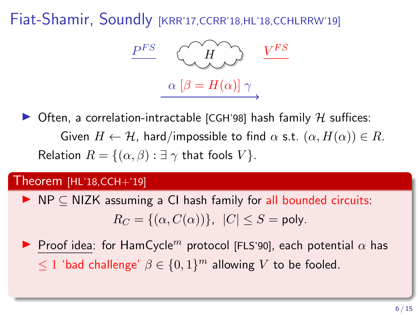

 $\triangleright$  Often, a correlation-intractable [CGH'98] hash family H suffices: Given  $H \leftarrow H$ , hard/impossible to find  $\alpha$  s.t.  $(\alpha, H(\alpha)) \in R$ . Relation  $R = \{(\alpha, \beta) : \exists \gamma \text{ that fools } V\}.$ 

#### Theorem [HL'18,CCH+'19]

 $\triangleright$  NP  $\subset$  NIZK assuming a CI hash family for all bounded circuits:  $R_C = \{(\alpha, C(\alpha))\}, |C| \leq S = \text{poly}.$ 

**Proof idea: for HamCycle**<sup>m</sup> protocol [FLS'90], each potential  $\alpha$  has  $\leq 1$  'bad challenge'  $\beta \in \{0,1\}^m$  allowing V to be fooled.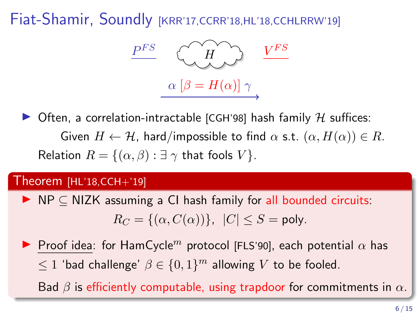

 $\triangleright$  Often, a correlation-intractable [CGH'98] hash family H suffices: Given  $H \leftarrow H$ , hard/impossible to find  $\alpha$  s.t.  $(\alpha, H(\alpha)) \in R$ . Relation  $R = \{(\alpha, \beta) : \exists \gamma \text{ that fools } V\}.$ 

#### Theorem [HL'18,CCH+'19]

- $\triangleright$  NP  $\subset$  NIZK assuming a CI hash family for all bounded circuits:  $R_C = \{(\alpha, C(\alpha))\}, |C| \leq S = \text{poly}.$
- **Proof idea: for HamCycle**<sup>m</sup> protocol [FLS'90], each potential  $\alpha$  has  $\leq 1$  'bad challenge'  $\beta \in \{0,1\}^m$  allowing V to be fooled.

Bad  $\beta$  is efficiently computable, using trapdoor for commitments in  $\alpha$ .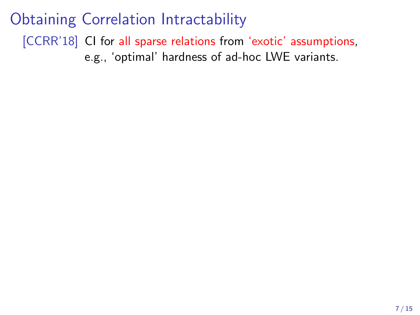# Obtaining Correlation Intractability

[CCRR'18] CI for all sparse relations from 'exotic' assumptions, e.g., 'optimal' hardness of ad-hoc LWE variants.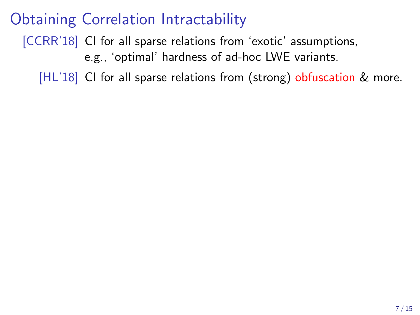[CCRR'18] CI for all sparse relations from 'exotic' assumptions, e.g., 'optimal' hardness of ad-hoc LWE variants.

[HL'18] CI for all sparse relations from (strong) obfuscation & more.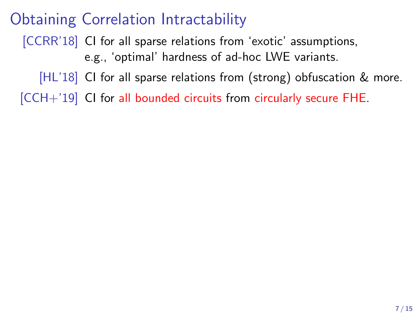[CCRR'18] CI for all sparse relations from 'exotic' assumptions, e.g., 'optimal' hardness of ad-hoc LWE variants.

[HL'18] CI for all sparse relations from (strong) obfuscation & more.

[CCH+'19] CI for all bounded circuits from circularly secure FHE.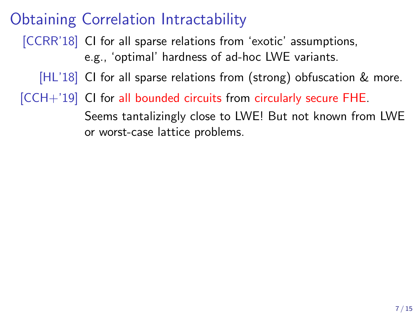[CCRR'18] CI for all sparse relations from 'exotic' assumptions, e.g., 'optimal' hardness of ad-hoc LWE variants.

[HL'18] CI for all sparse relations from (strong) obfuscation & more.

[CCH+'19] CI for all bounded circuits from circularly secure FHE. Seems tantalizingly close to LWE! But not known from LWE or worst-case lattice problems.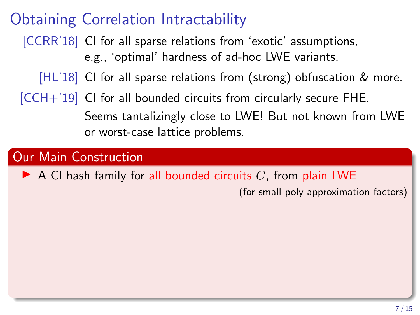[CCRR'18] CI for all sparse relations from 'exotic' assumptions, e.g., 'optimal' hardness of ad-hoc LWE variants.

[HL'18] CI for all sparse relations from (strong) obfuscation & more.

[CCH+'19] CI for all bounded circuits from circularly secure FHE. Seems tantalizingly close to LWE! But not known from LWE or worst-case lattice problems.

### Our Main Construction

 $\blacktriangleright$  A CI hash family for all bounded circuits C, from plain LWE

(for small poly approximation factors)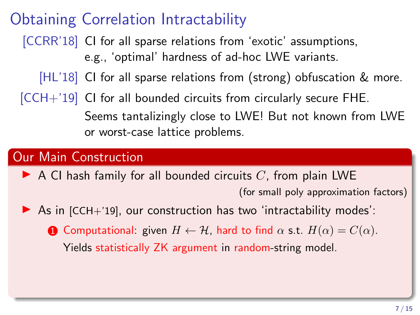[CCRR'18] CI for all sparse relations from 'exotic' assumptions, e.g., 'optimal' hardness of ad-hoc LWE variants.

[HL'18] CI for all sparse relations from (strong) obfuscation & more.

[CCH+'19] CI for all bounded circuits from circularly secure FHE. Seems tantalizingly close to LWE! But not known from LWE or worst-case lattice problems.

### Our Main Construction

- $\blacktriangleright$  A CI hash family for all bounded circuits C, from plain LWE (for small poly approximation factors)
- $\triangleright$  As in [CCH+'19], our construction has two 'intractability modes':
	- **1** Computational: given  $H \leftarrow H$ , hard to find  $\alpha$  s.t.  $H(\alpha) = C(\alpha)$ . Yields statistically ZK argument in random-string model.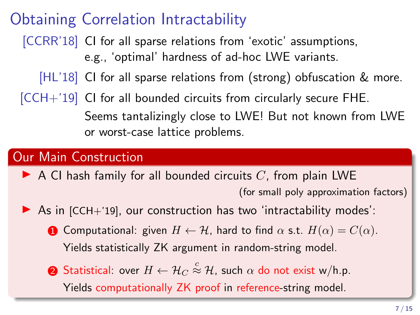[CCRR'18] CI for all sparse relations from 'exotic' assumptions, e.g., 'optimal' hardness of ad-hoc LWE variants.

[HL'18] CI for all sparse relations from (strong) obfuscation & more.

 $[CCH+19]$  CI for all bounded circuits from circularly secure FHE. Seems tantalizingly close to LWE! But not known from LWE or worst-case lattice problems.

### Our Main Construction

- $\blacktriangleright$  A CI hash family for all bounded circuits C, from plain LWE (for small poly approximation factors)
- $\triangleright$  As in [CCH+'19], our construction has two 'intractability modes':
	- **1** Computational: given  $H \leftarrow H$ , hard to find  $\alpha$  s.t.  $H(\alpha) = C(\alpha)$ . Yields statistically ZK argument in random-string model.
	- $\bullet$  Statistical: over  $H \leftarrow \mathcal{H}_C \stackrel{c}{\approx} \mathcal{H}$ , such  $\alpha$  do not exist w/h.p.

Yields computationally ZK proof in reference-string model.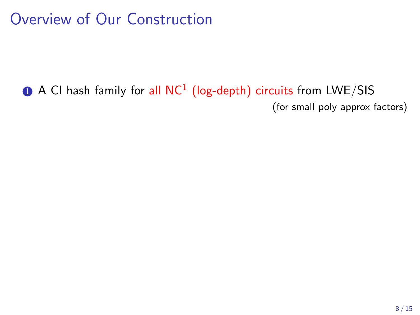# Overview of Our Construction

 $\bf{0}$  A CI hash family for all NC $^1$  (log-depth) circuits from LWE/SIS (for small poly approx factors)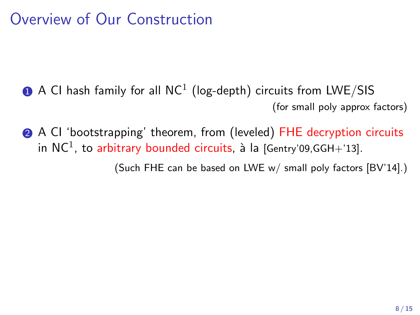# Overview of Our Construction

- $\bf{0}$  A CI hash family for all NC $^1$  (log-depth) circuits from LWE/SIS (for small poly approx factors)
- 2 A CI 'bootstrapping' theorem, from (leveled) FHE decryption circuits in  $\mathsf{NC}^1$ , to arbitrary bounded circuits, à la [Gentry'09,GGH+'13].

(Such FHE can be based on LWE w/ small poly factors [BV'14].)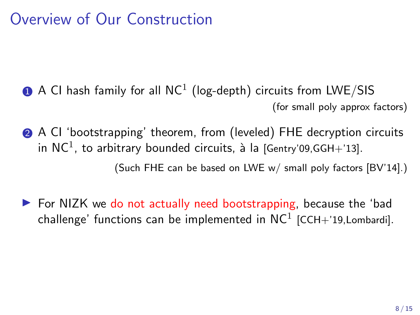# Overview of Our Construction

- $\bf{0}$  A CI hash family for all NC $^1$  (log-depth) circuits from LWE/SIS (for small poly approx factors)
- 2 A CI 'bootstrapping' theorem, from (leveled) FHE decryption circuits in  $\mathsf{NC}^1$ , to arbitrary bounded circuits, à la [Gentry'09,GGH+'13]. (Such FHE can be based on LWE w/ small poly factors [BV'14].)
- $\triangleright$  For NIZK we do not actually need bootstrapping, because the 'bad challenge' functions can be implemented in  $\mathsf{NC}^1$  [CCH+'19,Lombardi].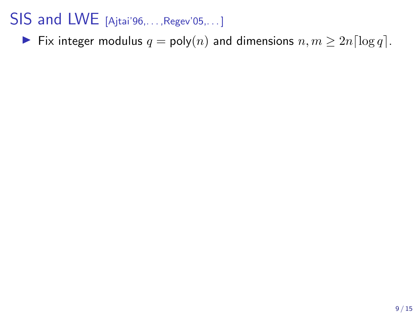## SIS and LWE [Ajtai'96,..., Regev'05,...]

Fix integer modulus  $q = \text{poly}(n)$  and dimensions  $n, m \geq 2n \lceil \log q \rceil$ .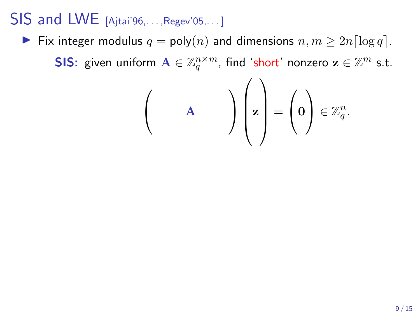## SIS and LWE [Ajtai'96,. . . ,Regev'05,. . . ]

▶ Fix integer modulus  $q = \text{poly}(n)$  and dimensions  $n, m \geq 2n \lceil \log q \rceil$ .

**SIS:** given uniform  $\mathbf{A} \in \mathbb{Z}_q^{n \times m}$ , find 'short' nonzero  $\mathbf{z} \in \mathbb{Z}^m$  s.t.

$$
\begin{pmatrix} & & \\ & A & \\ & & \end{pmatrix} \begin{pmatrix} & \\ \mathbf{z} & \\ & \end{pmatrix} = \begin{pmatrix} & \\ \mathbf{0} & \\ & \end{pmatrix} \in \mathbb{Z}_q^n.
$$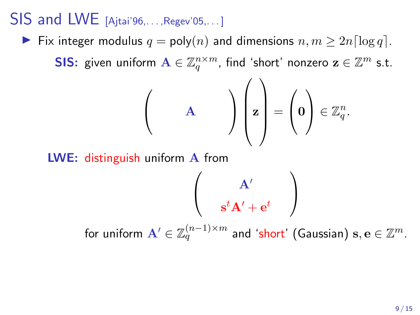## $SIS$  and LWE  $[A]$ itai'96,..., Regev'05,...

Fix integer modulus  $q = \text{poly}(n)$  and dimensions  $n, m \geq 2n \lceil \log q \rceil$ .

**SIS:** given uniform  $\mathbf{A} \in \mathbb{Z}_q^{n \times m}$ , find 'short' nonzero  $\mathbf{z} \in \mathbb{Z}^m$  s.t.

$$
\begin{pmatrix} & & \\ & A & \\ & & \end{pmatrix} \begin{pmatrix} & \\ z & \\ & \end{pmatrix} = \begin{pmatrix} 0 \\ 0 \end{pmatrix} \in \mathbb{Z}_q^n.
$$

LWE: distinguish uniform A from

$$
\left(\begin{array}{c} \mathbf{A}' \\ \mathbf{s}^t\mathbf{A}' + \mathbf{e}^t \end{array}\right)
$$

for uniform  $\mathbf{A}'\in\mathbb{Z}_q^{(n-1)\times m}$  and 'short' (Gaussian)  $\mathbf{s},\mathbf{e}\in\mathbb{Z}^m$ .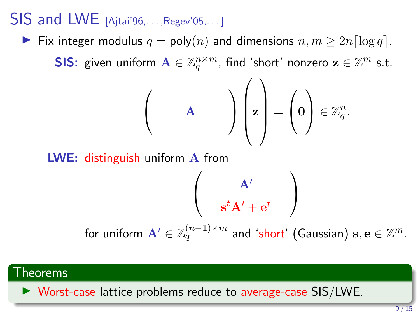### $SIS$  and LWE  $[A]$ itai'96,..., Regev'05,...

► Fix integer modulus  $q = \text{poly}(n)$  and dimensions  $n, m \geq 2n \lceil \log q \rceil$ .

**SIS:** given uniform  $\mathbf{A} \in \mathbb{Z}_q^{n \times m}$ , find 'short' nonzero  $\mathbf{z} \in \mathbb{Z}^m$  s.t.

$$
\begin{pmatrix} & & \\ & A & \\ & & \end{pmatrix} \begin{pmatrix} z \\ z \end{pmatrix} = \begin{pmatrix} 0 \\ 0 \end{pmatrix} \in \mathbb{Z}_q^n.
$$

LWE: distinguish uniform A from

$$
\left(\begin{array}{c}\mathbf{A}'\\ \mathbf{s}^t\mathbf{A}'+\mathbf{e}^t\end{array}\right)
$$
 for uniform  $\mathbf{A}'\in\mathbb{Z}_q^{(n-1)\times m}$  and 'short' (Gaussian)  $\mathbf{s},\mathbf{e}\in\mathbb{Z}^m$ .

### Theorems

 $\triangleright$  Worst-case lattice problems reduce to average-case SIS/LWE.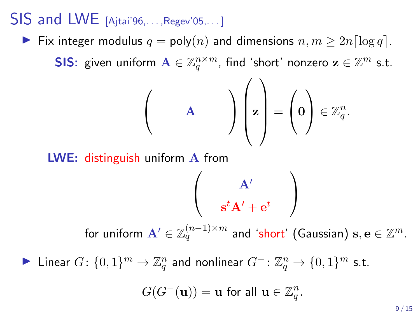### $SIS$  and LWE  $[A]$ itai'96,..., Regev'05,...

Fix integer modulus  $q = \text{poly}(n)$  and dimensions  $n, m \geq 2n \lceil \log q \rceil$ .

**SIS:** given uniform  $\mathbf{A} \in \mathbb{Z}_q^{n \times m}$ , find 'short' nonzero  $\mathbf{z} \in \mathbb{Z}^m$  s.t.

$$
\begin{pmatrix} & & \\ & A & \\ & & \end{pmatrix} \begin{pmatrix} z \\ z \end{pmatrix} = \begin{pmatrix} 0 \\ 0 \end{pmatrix} \in \mathbb{Z}_q^n.
$$

LWE: distinguish uniform A from

$$
\left(\begin{array}{c} \mathbf{A}' \\ \mathbf{s}^t\mathbf{A}' + \mathbf{e}^t \end{array}\right)
$$

for uniform  $\mathbf{A}'\in\mathbb{Z}_q^{(n-1)\times m}$  and 'short' (Gaussian)  $\mathbf{s},\mathbf{e}\in\mathbb{Z}^m$ .

▶ Linear  $G: \{0,1\}^m \to \mathbb{Z}_q^n$  and nonlinear  $G^-: \mathbb{Z}_q^n \to \{0,1\}^m$  s.t.

$$
G(G^{-}(\mathbf{u})) = \mathbf{u} \text{ for all } \mathbf{u} \in \mathbb{Z}_q^n.
$$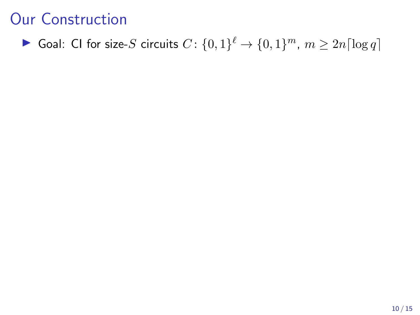▶ Goal: CI for size-S circuits  $C: \{0,1\}^{\ell} \rightarrow \{0,1\}^m$ ,  $m \geq 2n \lceil \log q \rceil$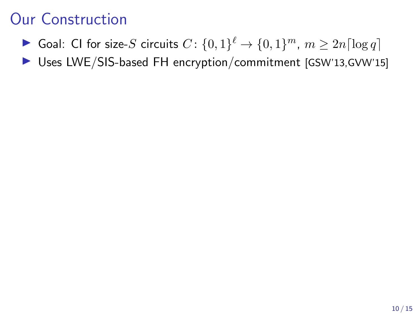- ▶ Goal: CI for size-S circuits  $C: \{0,1\}^{\ell} \rightarrow \{0,1\}^m$ ,  $m \geq 2n \lceil \log q \rceil$
- ▶ Uses LWE/SIS-based FH encryption/commitment [GSW'13,GVW'15]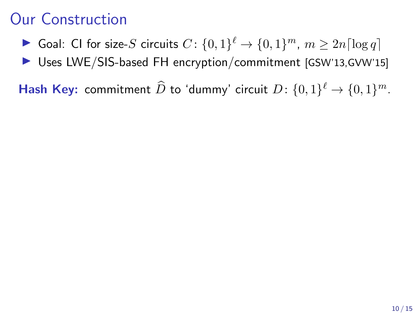▶ Goal: CI for size-S circuits  $C: \{0,1\}^{\ell} \rightarrow \{0,1\}^m$ ,  $m \geq 2n \lceil \log q \rceil$ 

▶ Uses LWE/SIS-based FH encryption/commitment [GSW'13,GVW'15]

**Hash Key:** commitment  $\widehat{D}$  to 'dummy' circuit  $D$ :  $\{0,1\}^{\ell} \to \{0,1\}^m$ .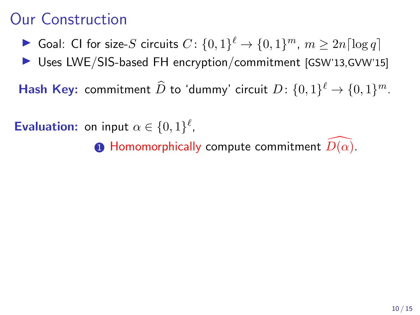- ▶ Goal: CI for size-S circuits  $C: \{0,1\}^{\ell} \rightarrow \{0,1\}^m$ ,  $m \geq 2n \lceil \log q \rceil$
- $\triangleright$  Uses LWE/SIS-based FH encryption/commitment [GSW'13,GVW'15]

**Hash Key:** commitment  $\widehat{D}$  to 'dummy' circuit  $D$ :  $\{0,1\}^{\ell} \to \{0,1\}^m$ .

**Evaluation:** on input  $\alpha \in \{0,1\}^{\ell}$ ,

**1** Homomorphically compute commitment  $D(\alpha)$ .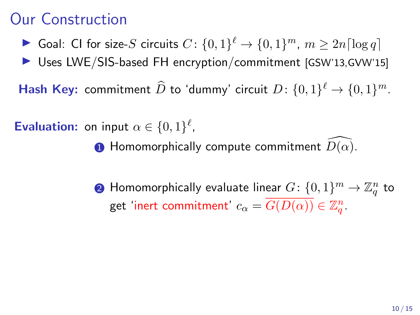- ▶ Goal: CI for size-S circuits  $C: \{0,1\}^{\ell} \rightarrow \{0,1\}^m$ ,  $m \geq 2n \lceil \log q \rceil$
- $\triangleright$  Uses LWE/SIS-based FH encryption/commitment [GSW'13,GVW'15]

**Hash Key:** commitment  $\widehat{D}$  to 'dummy' circuit  $D$ :  $\{0,1\}^{\ell} \to \{0,1\}^m$ .

**Evaluation:** on input  $\alpha \in \{0,1\}^{\ell}$ ,

- **1** Homomorphically compute commitment  $D(\alpha)$ .
- $\mathbf 2$  Homomorphically evaluate linear  $G \colon \{0,1\}^m \to \mathbb Z_q^n$  to get 'inert commitment'  $c_{\alpha} = \overline{G(D(\alpha))} \in \mathbb{Z}_q^n$ .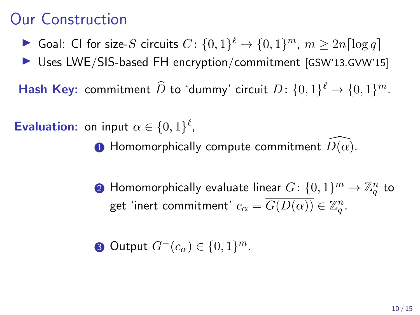- ▶ Goal: CI for size-S circuits  $C: \{0,1\}^{\ell} \rightarrow \{0,1\}^m$ ,  $m \geq 2n \lceil \log q \rceil$
- $\triangleright$  Uses LWE/SIS-based FH encryption/commitment [GSW'13,GVW'15]

**Hash Key:** commitment  $\widehat{D}$  to 'dummy' circuit  $D$ :  $\{0,1\}^{\ell} \to \{0,1\}^m$ .

**Evaluation:** on input  $\alpha \in \{0,1\}^{\ell}$ ,

- **1** Homomorphically compute commitment  $D(\alpha)$ .
- $\mathbf 2$  Homomorphically evaluate linear  $G \colon \{0,1\}^m \to \mathbb Z_q^n$  to get 'inert commitment'  $c_{\alpha} = \overline{G(D(\alpha))} \in \mathbb{Z}_q^n$ .

3 Output  $G^-(c_\alpha) \in \{0,1\}^m$ .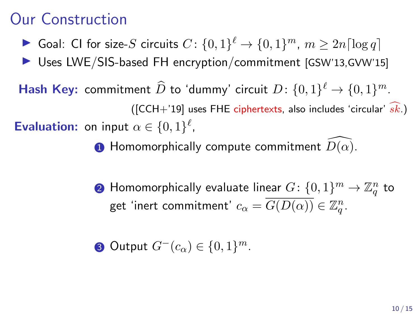- ▶ Goal: CI for size-S circuits  $C: \{0,1\}^{\ell} \rightarrow \{0,1\}^m$ ,  $m \geq 2n \lceil \log q \rceil$
- $\triangleright$  Uses LWE/SIS-based FH encryption/commitment [GSW'13,GVW'15]
- **Hash Key:** commitment  $\widehat{D}$  to 'dummy' circuit  $D$ :  $\{0,1\}^{\ell} \to \{0,1\}^m$ . ([CCH+'19] uses FHE ciphertexts, also includes 'circular'  $\widehat{sk}$ .) **Evaluation:** on input  $\alpha \in \{0,1\}^{\ell}$ ,

**1** Homomorphically compute commitment  $D(\alpha)$ .

 $\mathbf 2$  Homomorphically evaluate linear  $G \colon \{0,1\}^m \to \mathbb Z_q^n$  to get 'inert commitment'  $c_{\alpha} = \overline{G(D(\alpha))} \in \mathbb{Z}_q^n$ .

3 Output  $G^-(c_\alpha) \in \{0,1\}^m$ .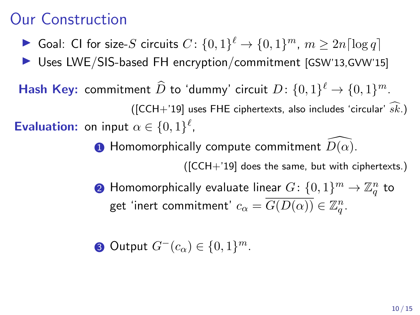- ▶ Goal: CI for size-S circuits  $C: \{0,1\}^{\ell} \rightarrow \{0,1\}^m$ ,  $m \geq 2n \lceil \log q \rceil$
- $\triangleright$  Uses LWE/SIS-based FH encryption/commitment [GSW'13,GVW'15]
- **Hash Key:** commitment  $\widehat{D}$  to 'dummy' circuit  $D$ :  $\{0,1\}^{\ell} \to \{0,1\}^m$ . ([CCH+'19] uses FHE ciphertexts, also includes 'circular'  $\widehat{sk}$ .) **Evaluation:** on input  $\alpha \in \{0,1\}^{\ell}$ ,
	- **1** Homomorphically compute commitment  $D(\alpha)$ .
		- ([CCH+'19] does the same, but with ciphertexts.)
	- $\mathbf 2$  Homomorphically evaluate linear  $G \colon \{0,1\}^m \to \mathbb Z_q^n$  to get 'inert commitment'  $c_{\alpha} = \overline{G(D(\alpha))} \in \mathbb{Z}_q^n$ .
	- 3 Output  $G^-(c_\alpha) \in \{0,1\}^m$ .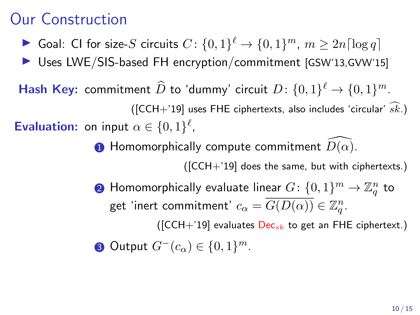- ▶ Goal: CI for size-S circuits  $C: \{0,1\}^{\ell} \rightarrow \{0,1\}^m$ ,  $m \geq 2n \lceil \log q \rceil$
- $\triangleright$  Uses LWE/SIS-based FH encryption/commitment [GSW'13,GVW'15]
- **Hash Key:** commitment  $\widehat{D}$  to 'dummy' circuit  $D$ :  $\{0,1\}^{\ell} \to \{0,1\}^m$ . ([CCH+'19] uses FHE ciphertexts, also includes 'circular'  $\widehat{sk}$ .) **Evaluation:** on input  $\alpha \in \{0,1\}^{\ell}$ ,
	- **1** Homomorphically compute commitment  $D(\alpha)$ .

([CCH+'19] does the same, but with ciphertexts.)

 $\mathbf 2$  Homomorphically evaluate linear  $G \colon \{0,1\}^m \to \mathbb Z_q^n$  to get 'inert commitment'  $c_{\alpha} = \overline{G(D(\alpha))} \in \mathbb{Z}_q^n$ .

( $[CCH+'19]$  evaluates  $Dec_{sk}$  to get an FHE ciphertext.)

3 Output  $G^-(c_\alpha) \in \{0,1\}^m$ .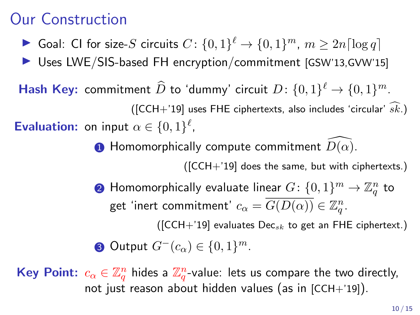- ▶ Goal: CI for size-S circuits  $C: \{0,1\}^{\ell} \rightarrow \{0,1\}^m$ ,  $m \geq 2n \lceil \log q \rceil$
- ▶ Uses LWE/SIS-based FH encryption/commitment [GSW'13,GVW'15]
- **Hash Key:** commitment  $\widehat{D}$  to 'dummy' circuit  $D$ :  $\{0,1\}^{\ell} \to \{0,1\}^m$ . ([CCH+'19] uses FHE ciphertexts, also includes 'circular'  $\widehat{sk}$ .) **Evaluation:** on input  $\alpha \in \{0,1\}^{\ell}$ ,
	- **1** Homomorphically compute commitment  $D(\alpha)$ .

([CCH+'19] does the same, but with ciphertexts.)

 $\mathbf 2$  Homomorphically evaluate linear  $G \colon \{0,1\}^m \to \mathbb Z_q^n$  to get 'inert commitment'  $c_{\alpha} = \overline{G(D(\alpha))} \in \mathbb{Z}_q^n$ .

( $[CCH+19]$  evaluates Dec<sub>sk</sub> to get an FHE ciphertext.)

3 Output  $G^-(c_\alpha) \in \{0,1\}^m$ .

Key Point:  $c_{\alpha}\in\mathbb{Z}_q^n$  hides a  $\mathbb{Z}_q^n$ -value: lets us compare the two directly, not just reason about hidden values (as in [CCH+'19]).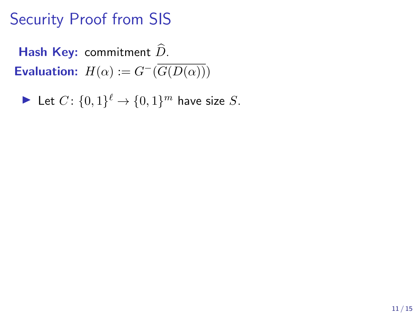Hash Key: commitment  $\widehat{D}$ . **Evaluation:**  $H(\alpha) := G^{-}(\overline{G(D(\alpha))})$ 

Let 
$$
C: \{0,1\}^{\ell} \to \{0,1\}^m
$$
 have size S.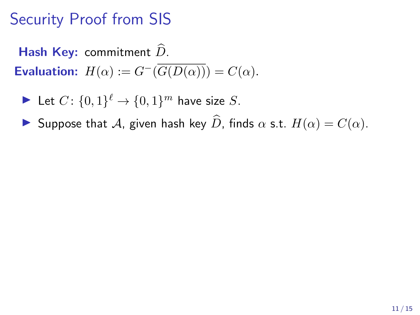Hash Key: commitment  $\widehat{D}$ . **Evaluation:**  $H(\alpha) := G^{-}(\overline{G(D(\alpha))}) = C(\alpha)$ .

Let 
$$
C: \{0,1\}^{\ell} \to \{0,1\}^m
$$
 have size  $S$ .

**If** Suppose that A, given hash key  $\widehat{D}$ , finds  $\alpha$  s.t.  $H(\alpha) = C(\alpha)$ .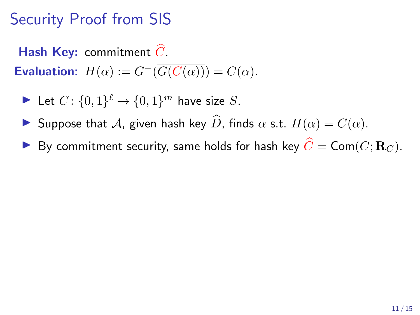Hash Key: commitment  $\widehat{C}$ . **Evaluation:**  $H(\alpha) := G^{-}(\overline{G(C(\alpha))}) = C(\alpha)$ .

Let 
$$
C: \{0,1\}^{\ell} \to \{0,1\}^m
$$
 have size  $S$ .

- **If** Suppose that A, given hash key  $\widehat{D}$ , finds  $\alpha$  s.t.  $H(\alpha) = C(\alpha)$ .
- By commitment security, same holds for hash key  $\widehat{C} = \mathsf{Com}(C; \mathbf{R}_C)$ .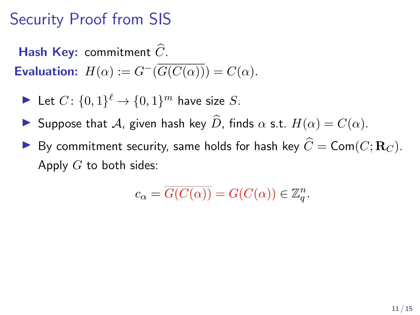Hash Key: commitment  $\widehat{C}$ . **Evaluation:**  $H(\alpha) := G^{-}(\overline{G(C(\alpha))}) = C(\alpha)$ .

Let 
$$
C: \{0,1\}^{\ell} \to \{0,1\}^m
$$
 have size  $S$ .

- Suppose that A, given hash key  $\widehat{D}$ , finds  $\alpha$  s.t.  $H(\alpha) = C(\alpha)$ .
- By commitment security, same holds for hash key  $\widehat{C} = \mathsf{Com}(C; \mathbf{R}_C)$ . Apply  $G$  to both sides:

$$
c_{\alpha} = \overline{G(C(\alpha))} = G(C(\alpha)) \in \mathbb{Z}_q^n.
$$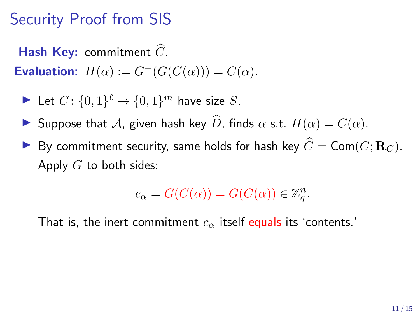Hash Key: commitment  $\widehat{C}$ . **Evaluation:**  $H(\alpha) := G^{-}(\overline{G(C(\alpha))}) = C(\alpha)$ .

Let 
$$
C: \{0,1\}^{\ell} \to \{0,1\}^m
$$
 have size  $S$ .

- Suppose that A, given hash key  $\widehat{D}$ , finds  $\alpha$  s.t.  $H(\alpha) = C(\alpha)$ .
- By commitment security, same holds for hash key  $\widehat{C} = \mathsf{Com}(C; \mathbf{R}_C)$ . Apply  $G$  to both sides:

$$
c_{\alpha} = \overline{G(C(\alpha))} = G(C(\alpha)) \in \mathbb{Z}_q^n.
$$

That is, the inert commitment  $c_{\alpha}$  itself equals its 'contents.'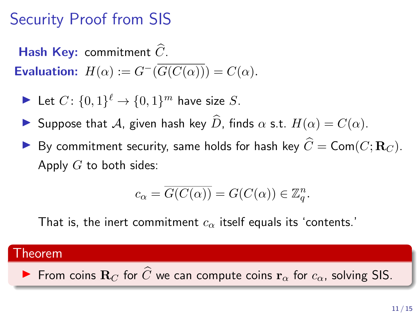Hash Key: commitment  $\widehat{C}$ . **Evaluation:**  $H(\alpha) := G^{-}(\overline{G(C(\alpha))}) = C(\alpha)$ .

Let 
$$
C: \{0,1\}^{\ell} \to \{0,1\}^m
$$
 have size  $S$ .

- **I** Suppose that A, given hash key  $\widehat{D}$ , finds  $\alpha$  s.t.  $H(\alpha) = C(\alpha)$ .
- By commitment security, same holds for hash key  $\widehat{C} = \mathsf{Com}(C; \mathbf{R}_C)$ . Apply  $G$  to both sides:

$$
c_{\alpha} = \overline{G(C(\alpha))} = G(C(\alpha)) \in \mathbb{Z}_q^n.
$$

That is, the inert commitment  $c_{\alpha}$  itself equals its 'contents.'

#### Theorem

From coins  $\mathbf{R}_C$  for  $\widehat{C}$  we can compute coins  $\mathbf{r}_{\alpha}$  for  $c_{\alpha}$ , solving SIS.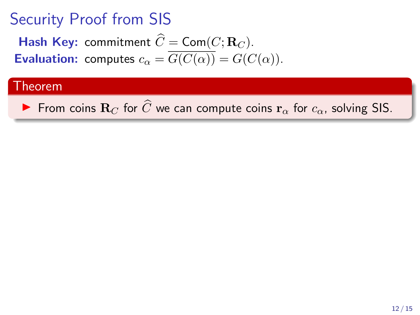**Hash Key:** commitment  $\widehat{C} = \textsf{Com}(C; \mathbf{R}_C)$ . **Evaluation:** computes  $c_{\alpha} = \overline{G(C(\alpha))} = G(C(\alpha)).$ 

#### Theorem

From coins  $\mathbf{R}_C$  for  $\widehat{C}$  we can compute coins  $\mathbf{r}_{\alpha}$  for  $c_{\alpha}$ , solving SIS.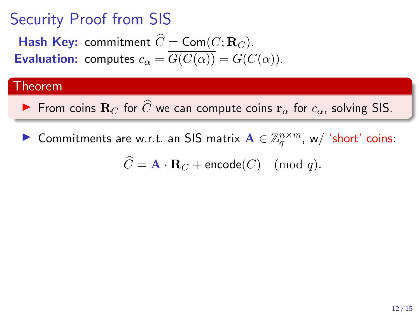**Hash Key:** commitment  $\widehat{C} = \textsf{Com}(C; \mathbf{R}_C)$ . **Evaluation:** computes  $c_{\alpha} = \overline{G(C(\alpha))} = G(C(\alpha)).$ 

#### Theorem

From coins  $\mathbf{R}_C$  for  $\widehat{C}$  we can compute coins  $\mathbf{r}_{\alpha}$  for  $c_{\alpha}$ , solving SIS.

▶ Commitments are w.r.t. an SIS matrix  $\mathbf{A} \in \mathbb{Z}_q^{n \times m}$ , w/ 'short' coins:

 $\widehat{C} = \mathbf{A} \cdot \mathbf{R}_C + \text{encode}(C) \pmod{q}.$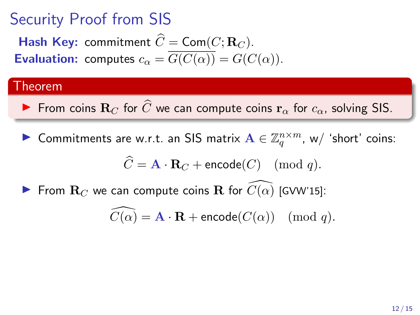**Hash Key:** commitment  $\widehat{C} = \textsf{Com}(C; \mathbf{R}_C)$ . **Evaluation:** computes  $c_{\alpha} = \overline{G(C(\alpha))} = G(C(\alpha)).$ 

### Theorem

- From coins  $\mathbf{R}_C$  for  $\widehat{C}$  we can compute coins  $\mathbf{r}_{\alpha}$  for  $c_{\alpha}$ , solving SIS.
- ▶ Commitments are w.r.t. an SIS matrix  $\mathbf{A} \in \mathbb{Z}_q^{n \times m}$ , w/ 'short' coins:

$$
\widehat{C} = \mathbf{A} \cdot \mathbf{R}_C + \mathsf{encode}(C) \pmod{q}.
$$

From  $\mathbf{R}_C$  we can compute coins R for  $C(\alpha)$  [GVW'15]:

$$
\widehat{C(\alpha)} = \mathbf{A} \cdot \mathbf{R} + \text{encode}(C(\alpha)) \pmod{q}.
$$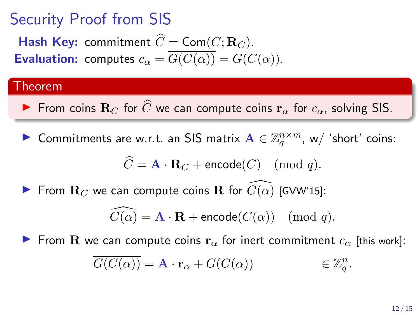**Hash Key:** commitment  $\widehat{C} = \textsf{Com}(C; \mathbf{R}_C)$ . **Evaluation:** computes  $c_{\alpha} = \overline{G(C(\alpha))} = G(C(\alpha)).$ 

### Theorem

From coins  $\mathbf{R}_C$  for  $\widehat{C}$  we can compute coins  $\mathbf{r}_{\alpha}$  for  $c_{\alpha}$ , solving SIS.

▶ Commitments are w.r.t. an SIS matrix  $\mathbf{A} \in \mathbb{Z}_q^{n \times m}$ , w/ 'short' coins:

$$
\widehat{C} = \mathbf{A} \cdot \mathbf{R}_C + \mathsf{encode}(C) \pmod{q}.
$$

From  $\mathbf{R}_C$  we can compute coins R for  $C(\alpha)$  [GVW'15]:

$$
\widehat{C(\alpha)} = \mathbf{A} \cdot \mathbf{R} + \text{encode}(C(\alpha)) \pmod{q}.
$$

From R we can compute coins  $r_{\alpha}$  for inert commitment  $c_{\alpha}$  [this work]:

$$
\overline{G(C(\alpha))} = \mathbf{A} \cdot \mathbf{r}_{\alpha} + G(C(\alpha)) \qquad \in \mathbb{Z}_q^n.
$$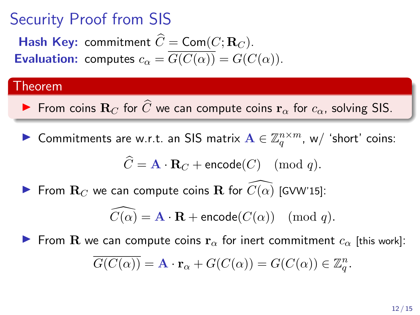**Hash Key:** commitment  $\widehat{C} = \textsf{Com}(C; \mathbf{R}_C)$ . **Evaluation:** computes  $c_{\alpha} = \overline{G(C(\alpha))} = G(C(\alpha)).$ 

### Theorem

From coins  $\mathbf{R}_C$  for  $\widehat{C}$  we can compute coins  $\mathbf{r}_{\alpha}$  for  $c_{\alpha}$ , solving SIS.

▶ Commitments are w.r.t. an SIS matrix  $\mathbf{A} \in \mathbb{Z}_q^{n \times m}$ , w/ 'short' coins:

$$
\widehat{C} = \mathbf{A} \cdot \mathbf{R}_C + \mathsf{encode}(C) \pmod{q}.
$$

From  $\mathbf{R}_C$  we can compute coins R for  $C(\alpha)$  [GVW'15]:

$$
\widehat{C(\alpha)} = \mathbf{A} \cdot \mathbf{R} + \text{encode}(C(\alpha)) \pmod{q}.
$$

From R we can compute coins  $\mathbf{r}_{\alpha}$  for inert commitment  $c_{\alpha}$  [this work]:

$$
\overline{G(C(\alpha))} = \mathbf{A} \cdot \mathbf{r}_{\alpha} + G(C(\alpha)) = G(C(\alpha)) \in \mathbb{Z}_q^n.
$$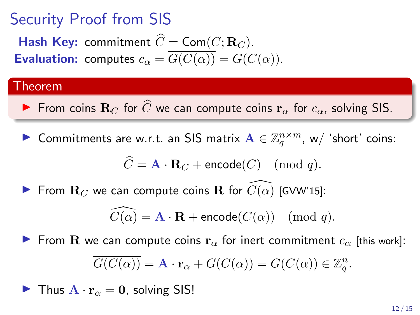**Hash Key:** commitment  $\widehat{C} = \textsf{Com}(C; \mathbf{R}_C)$ . **Evaluation:** computes  $c_{\alpha} = \overline{G(C(\alpha))} = G(C(\alpha)).$ 

### Theorem

From coins  $\mathbf{R}_C$  for  $\widehat{C}$  we can compute coins  $\mathbf{r}_{\alpha}$  for  $c_{\alpha}$ , solving SIS.

▶ Commitments are w.r.t. an SIS matrix  $\mathbf{A} \in \mathbb{Z}_q^{n \times m}$ , w/ 'short' coins:

$$
\widehat{C} = \mathbf{A} \cdot \mathbf{R}_C + \mathsf{encode}(C) \pmod{q}.
$$

From  $\mathbf{R}_C$  we can compute coins  $\mathbf{R}$  for  $\widetilde{C}(\alpha)$  [GVW'15]:

$$
\widehat{C(\alpha)} = \mathbf{A} \cdot \mathbf{R} + \textsf{encode}(C(\alpha)) \pmod{q}.
$$

From R we can compute coins  $\mathbf{r}_{\alpha}$  for inert commitment  $c_{\alpha}$  [this work]:

$$
\overline{G(C(\alpha))} = \mathbf{A} \cdot \mathbf{r}_{\alpha} + G(C(\alpha)) = G(C(\alpha)) \in \mathbb{Z}_q^n.
$$

**I** Thus  $\mathbf{A} \cdot \mathbf{r}_{\alpha} = \mathbf{0}$ , solving SIS!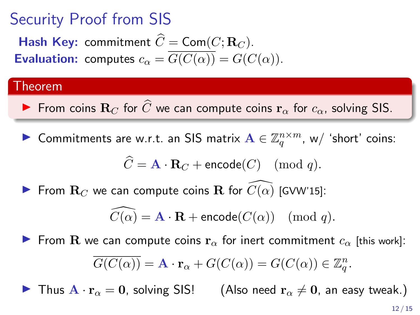# Security Proof from SIS

**Hash Key:** commitment  $\widehat{C} = \textsf{Com}(C; \mathbf{R}_C)$ . **Evaluation:** computes  $c_{\alpha} = \overline{G(C(\alpha))} = G(C(\alpha)).$ 

#### Theorem

From coins  $\mathbf{R}_C$  for  $\widehat{C}$  we can compute coins  $\mathbf{r}_{\alpha}$  for  $c_{\alpha}$ , solving SIS.

▶ Commitments are w.r.t. an SIS matrix  $\mathbf{A} \in \mathbb{Z}_q^{n \times m}$ , w/ 'short' coins:

$$
\widehat{C} = \mathbf{A} \cdot \mathbf{R}_C + \mathsf{encode}(C) \pmod{q}.
$$

From  $\mathbf{R}_C$  we can compute coins  $\mathbf{R}$  for  $\widetilde{C}(\alpha)$  [GVW'15]:

$$
\widehat{C(\alpha)} = \mathbf{A} \cdot \mathbf{R} + \text{encode}(C(\alpha)) \pmod{q}.
$$

From R we can compute coins  $\mathbf{r}_{\alpha}$  for inert commitment  $c_{\alpha}$  [this work]:

$$
\overline{G(C(\alpha))} = \mathbf{A} \cdot \mathbf{r}_{\alpha} + G(C(\alpha)) = G(C(\alpha)) \in \mathbb{Z}_q^n.
$$

 $\blacktriangleright$  Thus  $\mathbf{A} \cdot \mathbf{r}_{\alpha} = 0$ , solving SIS! (Also need  $\mathbf{r}_{\alpha} \neq 0$ , an easy tweak.)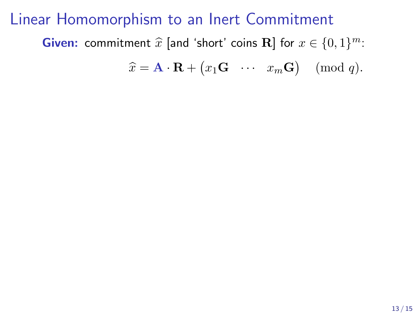**Given:** commitment  $\widehat{x}$  [and 'short' coins **R**] for  $x \in \{0, 1\}^m$ :

 $\widehat{x} = \mathbf{A} \cdot \mathbf{R} + (x_1 \mathbf{G} \cdots x_m \mathbf{G}) \pmod{q}.$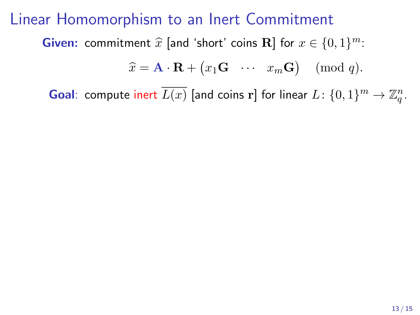**Given:** commitment  $\widehat{x}$  [and 'short' coins **R**] for  $x \in \{0, 1\}^m$ :

$$
\widehat{x} = \mathbf{A} \cdot \mathbf{R} + (x_1 \mathbf{G} \cdots x_m \mathbf{G}) \pmod{q}.
$$

**Goal**: compute inert  $\overline{L(x)}$  [and coins r] for linear  $L \colon \{0,1\}^m \to \mathbb{Z}_q^n$ .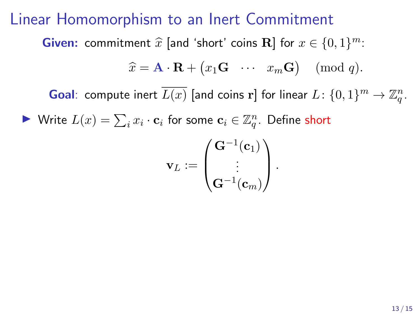**Given:** commitment  $\widehat{x}$  [and 'short' coins **R**] for  $x \in \{0, 1\}^m$ :

$$
\widehat{x} = \mathbf{A} \cdot \mathbf{R} + (x_1 \mathbf{G} \cdots x_m \mathbf{G}) \pmod{q}.
$$

**Goal**: compute inert  $\overline{L(x)}$  [and coins r] for linear  $L \colon \{0,1\}^m \to \mathbb{Z}_q^n$ .

▶ Write  $L(x) = \sum_i x_i \cdot \mathbf{c}_i$  for some  $\mathbf{c}_i \in \mathbb{Z}_q^n$ . Define short

$$
\mathbf{v}_L := \begin{pmatrix} \mathbf{G}^{-1}(\mathbf{c}_1) \\ \vdots \\ \mathbf{G}^{-1}(\mathbf{c}_m) \end{pmatrix}.
$$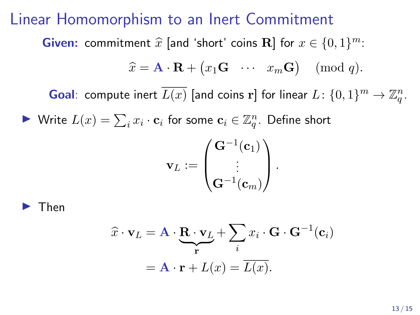**Given:** commitment  $\widehat{x}$  [and 'short' coins **R**] for  $x \in \{0, 1\}^m$ :

$$
\widehat{x} = \mathbf{A} \cdot \mathbf{R} + (x_1 \mathbf{G} \cdots x_m \mathbf{G}) \pmod{q}.
$$

**Goal**: compute inert  $\overline{L(x)}$  [and coins r] for linear  $L \colon \{0,1\}^m \to \mathbb{Z}_q^n$ .

▶ Write  $L(x) = \sum_i x_i \cdot \mathbf{c}_i$  for some  $\mathbf{c}_i \in \mathbb{Z}_q^n$ . Define short

$$
\mathbf{v}_L := \begin{pmatrix} \mathbf{G}^{-1}(\mathbf{c}_1) \\ \vdots \\ \mathbf{G}^{-1}(\mathbf{c}_m) \end{pmatrix}.
$$

I Then

$$
\hat{x} \cdot \mathbf{v}_L = \mathbf{A} \cdot \underbrace{\mathbf{R} \cdot \mathbf{v}_L}_{\mathbf{r}} + \sum_i x_i \cdot \mathbf{G} \cdot \mathbf{G}^{-1}(\mathbf{c}_i)
$$

$$
= \mathbf{A} \cdot \mathbf{r} + L(x) = \overline{L(x)}.
$$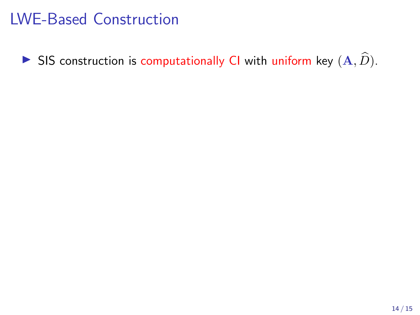$\blacktriangleright$  SIS construction is computationally CI with uniform key  $(A, \widehat{D})$ .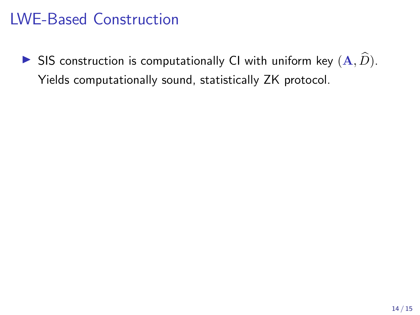SIS construction is computationally CI with uniform key  $(A, \widehat{D})$ . Yields computationally sound, statistically ZK protocol.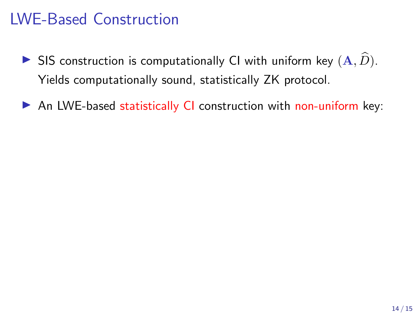- SIS construction is computationally CI with uniform key  $(A, \widehat{D})$ . Yields computationally sound, statistically ZK protocol.
- $\triangleright$  An LWE-based statistically CI construction with non-uniform key: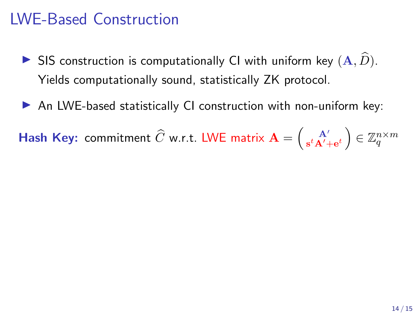- SIS construction is computationally CI with uniform key  $(A, \widehat{D})$ . Yields computationally sound, statistically ZK protocol.
- $\triangleright$  An LWE-based statistically CI construction with non-uniform key:

**Hash Key:** commitment  $\widehat{C}$  w.r.t. LWE matrix  $\mathbf{A} = \left( \begin{smallmatrix} A' \ A' \end{smallmatrix} \right)$  $\left(\mathbf{x}^t\mathbf{A}'_{\mathbf{+e}^t}\right) \in \mathbb{Z}_q^{n \times m}$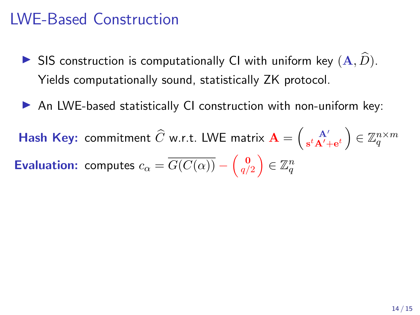- SIS construction is computationally CI with uniform key  $(A, \widehat{D})$ . Yields computationally sound, statistically ZK protocol.
- $\triangleright$  An LWE-based statistically CI construction with non-uniform key:

**Hash Key:** commitment  $\widehat{C}$  w.r.t. LWE matrix  $\mathbf{A} = \left( \begin{smallmatrix} A' \ A' \end{smallmatrix} \right)$  $\left(\mathbf{x}^t\mathbf{A}'_{\mathbf{+e}^t}\right) \in \mathbb{Z}_q^{n \times m}$ **Evaluation:** computes  $c_{\alpha} = \overline{G(C(\alpha))} - \begin{pmatrix} 0 \\ q/2 \end{pmatrix} \in \mathbb{Z}_q^n$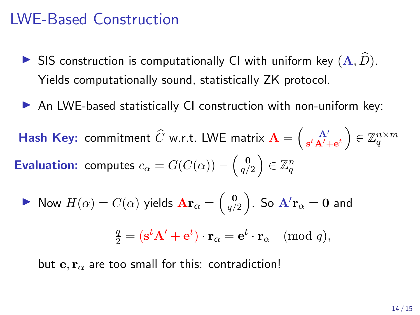- SIS construction is computationally CI with uniform key  $(A, \widehat{D})$ . Yields computationally sound, statistically ZK protocol.
- $\triangleright$  An LWE-based statistically CI construction with non-uniform key:

**Hash Key:** commitment  $\widehat{C}$  w.r.t. LWE matrix  $\mathbf{A} = \left( \begin{smallmatrix} A' \ A' \end{smallmatrix} \right)$  $\left(\mathbf{x}^t\mathbf{A}'_{\mathbf{+e}^t}\right) \in \mathbb{Z}_q^{n \times m}$ **Evaluation:** computes  $c_{\alpha} = \overline{G(C(\alpha))} - \begin{pmatrix} \mathbf{0} \\ q/2 \end{pmatrix} \in \mathbb{Z}_q^n$ 

Now 
$$
H(\alpha) = C(\alpha)
$$
 yields  $\mathbf{Ar}_{\alpha} = \begin{pmatrix} 0 \\ q/2 \end{pmatrix}$ . So  $\mathbf{A'r}_{\alpha} = \mathbf{0}$  and

$$
\frac{q}{2} = (\mathbf{s}^t \mathbf{A}' + \mathbf{e}^t) \cdot \mathbf{r}_{\alpha} = \mathbf{e}^t \cdot \mathbf{r}_{\alpha} \pmod{q},
$$

but e,  $\mathbf{r}_{\alpha}$  are too small for this: contradiction!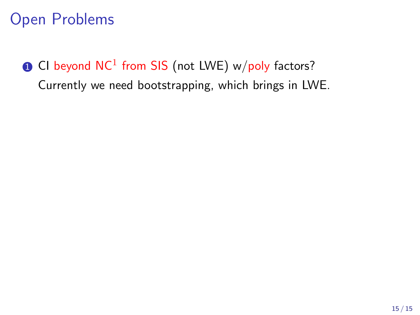$\textcolor{red}{\bullet}$  CI beyond NC $^1$  from SIS (not LWE) w/poly factors? Currently we need bootstrapping, which brings in LWE.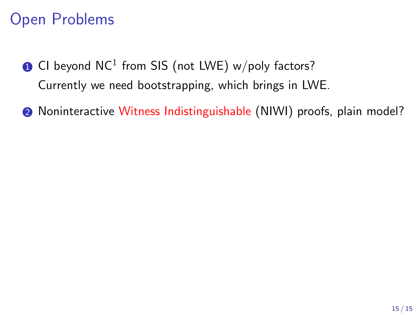- $\textcolor{red}{\bullet}$  CI beyond NC $^1$  from SIS (not LWE) w/poly factors? Currently we need bootstrapping, which brings in LWE.
- **2** Noninteractive Witness Indistinguishable (NIWI) proofs, plain model?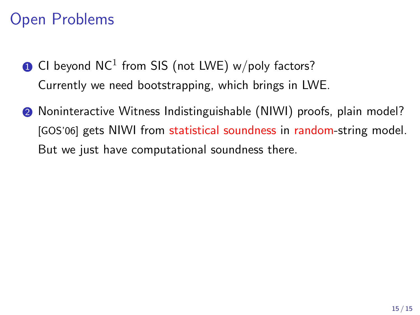- $\textcolor{red}{\bullet}$  CI beyond NC $^1$  from SIS (not LWE) w/poly factors? Currently we need bootstrapping, which brings in LWE.
- **2** Noninteractive Witness Indistinguishable (NIWI) proofs, plain model? [GOS'06] gets NIWI from statistical soundness in random-string model. But we just have computational soundness there.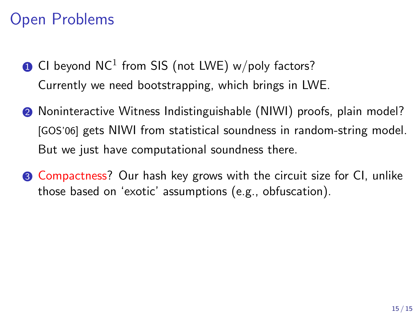- $\textcolor{red}{\bullet}$  CI beyond NC $^1$  from SIS (not LWE) w/poly factors? Currently we need bootstrapping, which brings in LWE.
- **2** Noninteractive Witness Indistinguishable (NIWI) proofs, plain model? [GOS'06] gets NIWI from statistical soundness in random-string model. But we just have computational soundness there.
- **3** Compactness? Our hash key grows with the circuit size for CI, unlike those based on 'exotic' assumptions (e.g., obfuscation).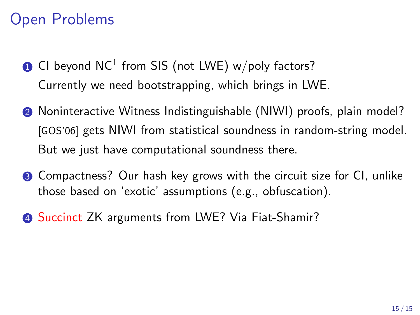- $\textcolor{red}{\bullet}$  CI beyond NC $^1$  from SIS (not LWE) w/poly factors? Currently we need bootstrapping, which brings in LWE.
- **2** Noninteractive Witness Indistinguishable (NIWI) proofs, plain model? [GOS'06] gets NIWI from statistical soundness in random-string model. But we just have computational soundness there.
- **3** Compactness? Our hash key grows with the circuit size for CI, unlike those based on 'exotic' assumptions (e.g., obfuscation).
- **4 Succinct ZK arguments from LWE? Via Fiat-Shamir?**